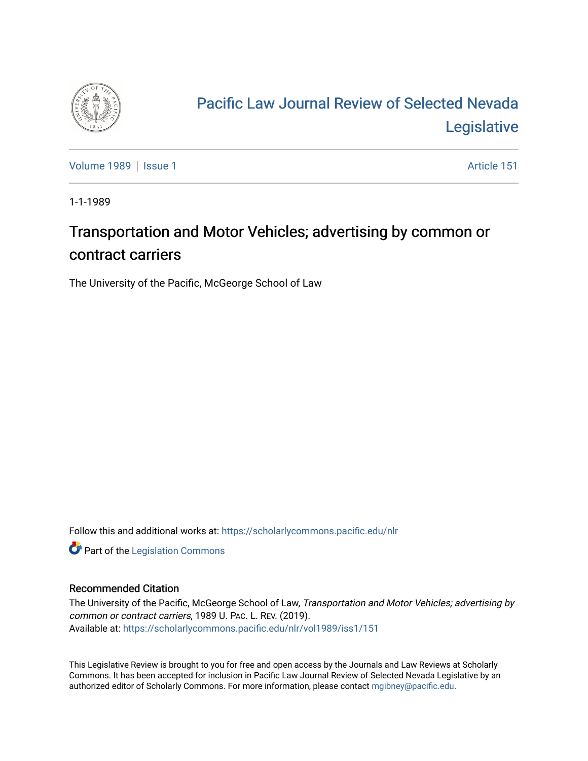

## [Pacific Law Journal Review of Selected Nevada](https://scholarlycommons.pacific.edu/nlr)  [Legislative](https://scholarlycommons.pacific.edu/nlr)

[Volume 1989](https://scholarlycommons.pacific.edu/nlr/vol1989) | [Issue 1](https://scholarlycommons.pacific.edu/nlr/vol1989/iss1) Article 151

1-1-1989

## Transportation and Motor Vehicles; advertising by common or contract carriers

The University of the Pacific, McGeorge School of Law

Follow this and additional works at: [https://scholarlycommons.pacific.edu/nlr](https://scholarlycommons.pacific.edu/nlr?utm_source=scholarlycommons.pacific.edu%2Fnlr%2Fvol1989%2Fiss1%2F151&utm_medium=PDF&utm_campaign=PDFCoverPages) 

**Part of the [Legislation Commons](http://network.bepress.com/hgg/discipline/859?utm_source=scholarlycommons.pacific.edu%2Fnlr%2Fvol1989%2Fiss1%2F151&utm_medium=PDF&utm_campaign=PDFCoverPages)** 

## Recommended Citation

The University of the Pacific, McGeorge School of Law, Transportation and Motor Vehicles; advertising by common or contract carriers, 1989 U. PAC. L. REV. (2019). Available at: [https://scholarlycommons.pacific.edu/nlr/vol1989/iss1/151](https://scholarlycommons.pacific.edu/nlr/vol1989/iss1/151?utm_source=scholarlycommons.pacific.edu%2Fnlr%2Fvol1989%2Fiss1%2F151&utm_medium=PDF&utm_campaign=PDFCoverPages) 

This Legislative Review is brought to you for free and open access by the Journals and Law Reviews at Scholarly Commons. It has been accepted for inclusion in Pacific Law Journal Review of Selected Nevada Legislative by an authorized editor of Scholarly Commons. For more information, please contact [mgibney@pacific.edu](mailto:mgibney@pacific.edu).